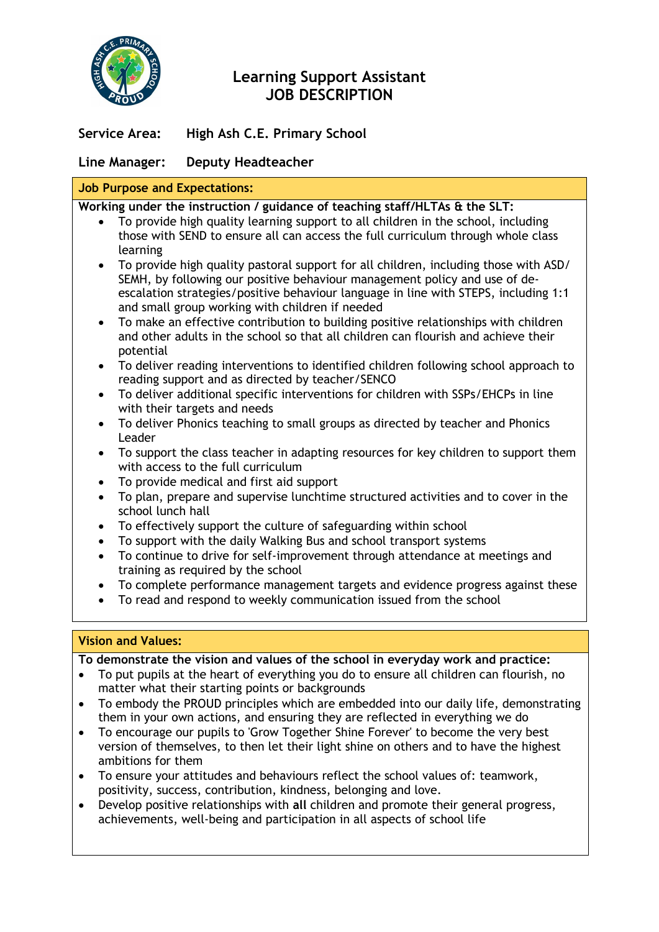

# **Learning Support Assistant JOB DESCRIPTION**

**Service Area: High Ash C.E. Primary School**

# **Line Manager: Deputy Headteacher**

# **Job Purpose and Expectations:**

**Working under the instruction / guidance of teaching staff/HLTAs & the SLT:**

- To provide high quality learning support to all children in the school, including those with SEND to ensure all can access the full curriculum through whole class learning
- To provide high quality pastoral support for all children, including those with ASD/ SEMH, by following our positive behaviour management policy and use of deescalation strategies/positive behaviour language in line with STEPS, including 1:1 and small group working with children if needed
- To make an effective contribution to building positive relationships with children and other adults in the school so that all children can flourish and achieve their potential
- To deliver reading interventions to identified children following school approach to reading support and as directed by teacher/SENCO
- To deliver additional specific interventions for children with SSPs/EHCPs in line with their targets and needs
- To deliver Phonics teaching to small groups as directed by teacher and Phonics Leader
- To support the class teacher in adapting resources for key children to support them with access to the full curriculum
- To provide medical and first aid support
- To plan, prepare and supervise lunchtime structured activities and to cover in the school lunch hall
- To effectively support the culture of safeguarding within school
- To support with the daily Walking Bus and school transport systems
- To continue to drive for self-improvement through attendance at meetings and training as required by the school
- To complete performance management targets and evidence progress against these
- To read and respond to weekly communication issued from the school

# **Vision and Values:**

**To demonstrate the vision and values of the school in everyday work and practice:**

- To put pupils at the heart of everything you do to ensure all children can flourish, no matter what their starting points or backgrounds
- To embody the PROUD principles which are embedded into our daily life, demonstrating them in your own actions, and ensuring they are reflected in everything we do
- To encourage our pupils to 'Grow Together Shine Forever' to become the very best version of themselves, to then let their light shine on others and to have the highest ambitions for them
- To ensure your attitudes and behaviours reflect the school values of: teamwork, positivity, success, contribution, kindness, belonging and love.
- Develop positive relationships with **all** children and promote their general progress, achievements, well-being and participation in all aspects of school life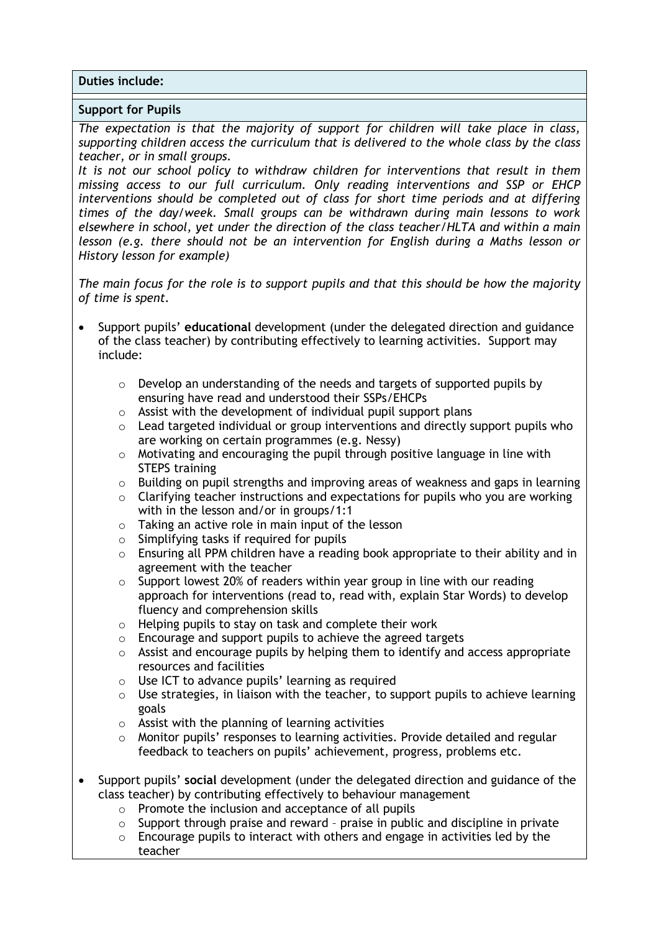**Duties include:**

#### **Support for Pupils**

*The expectation is that the majority of support for children will take place in class, supporting children access the curriculum that is delivered to the whole class by the class teacher, or in small groups.*

*It is not our school policy to withdraw children for interventions that result in them missing access to our full curriculum. Only reading interventions and SSP or EHCP interventions should be completed out of class for short time periods and at differing times of the day/week. Small groups can be withdrawn during main lessons to work elsewhere in school, yet under the direction of the class teacher/HLTA and within a main lesson (e.g. there should not be an intervention for English during a Maths lesson or History lesson for example)*

*The main focus for the role is to support pupils and that this should be how the majority of time is spent.* 

- Support pupils' **educational** development (under the delegated direction and guidance of the class teacher) by contributing effectively to learning activities. Support may include:
	- $\circ$  Develop an understanding of the needs and targets of supported pupils by ensuring have read and understood their SSPs/EHCPs
	- $\circ$  Assist with the development of individual pupil support plans
	- o Lead targeted individual or group interventions and directly support pupils who are working on certain programmes (e.g. Nessy)
	- o Motivating and encouraging the pupil through positive language in line with STEPS training
	- $\circ$  Building on pupil strengths and improving areas of weakness and gaps in learning
	- $\circ$  Clarifying teacher instructions and expectations for pupils who you are working with in the lesson and/or in groups/1:1
	- o Taking an active role in main input of the lesson
	- o Simplifying tasks if required for pupils
	- $\circ$  Ensuring all PPM children have a reading book appropriate to their ability and in agreement with the teacher
	- o Support lowest 20% of readers within year group in line with our reading approach for interventions (read to, read with, explain Star Words) to develop fluency and comprehension skills
	- o Helping pupils to stay on task and complete their work
	- o Encourage and support pupils to achieve the agreed targets
	- $\circ$  Assist and encourage pupils by helping them to identify and access appropriate resources and facilities
	- o Use ICT to advance pupils' learning as required
	- $\circ$  Use strategies, in liaison with the teacher, to support pupils to achieve learning goals
	- $\circ$  Assist with the planning of learning activities
	- $\circ$  Monitor pupils' responses to learning activities. Provide detailed and regular feedback to teachers on pupils' achievement, progress, problems etc.
- Support pupils' **social** development (under the delegated direction and guidance of the class teacher) by contributing effectively to behaviour management
	- o Promote the inclusion and acceptance of all pupils
	- o Support through praise and reward praise in public and discipline in private
	- o Encourage pupils to interact with others and engage in activities led by the teacher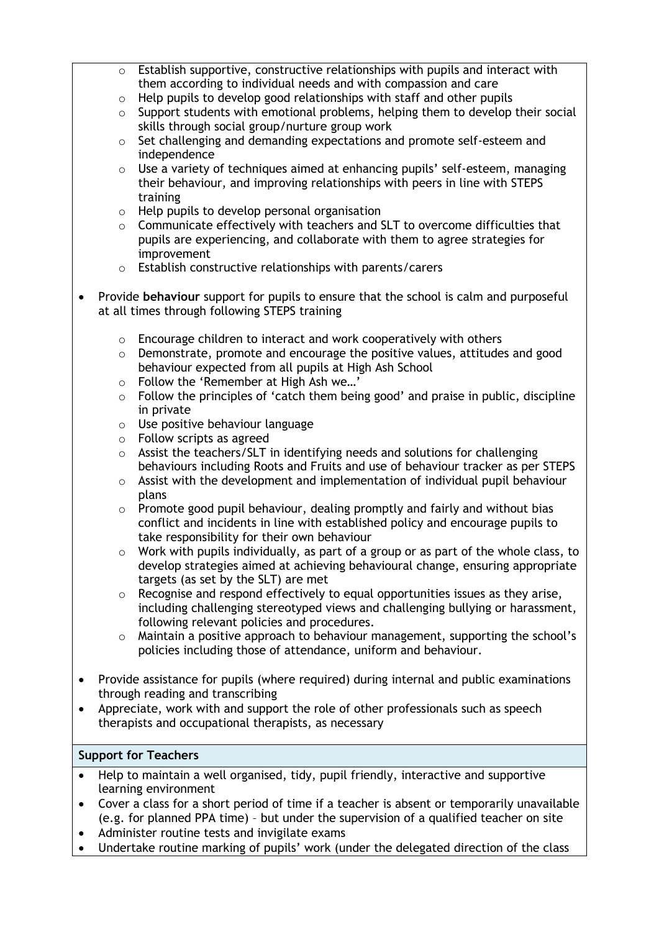- $\circ$  Establish supportive, constructive relationships with pupils and interact with them according to individual needs and with compassion and care
- $\circ$  Help pupils to develop good relationships with staff and other pupils
- $\circ$  Support students with emotional problems, helping them to develop their social skills through social group/nurture group work
- o Set challenging and demanding expectations and promote self-esteem and independence
- o Use a variety of techniques aimed at enhancing pupils' self-esteem, managing their behaviour, and improving relationships with peers in line with STEPS training
- o Help pupils to develop personal organisation
- o Communicate effectively with teachers and SLT to overcome difficulties that pupils are experiencing, and collaborate with them to agree strategies for improvement
- o Establish constructive relationships with parents/carers
- Provide **behaviour** support for pupils to ensure that the school is calm and purposeful at all times through following STEPS training
	- o Encourage children to interact and work cooperatively with others
	- $\circ$  Demonstrate, promote and encourage the positive values, attitudes and good behaviour expected from all pupils at High Ash School
	- o Follow the 'Remember at High Ash we…'
	- $\circ$  Follow the principles of 'catch them being good' and praise in public, discipline in private
	- o Use positive behaviour language
	- o Follow scripts as agreed
	- $\circ$  Assist the teachers/SLT in identifying needs and solutions for challenging behaviours including Roots and Fruits and use of behaviour tracker as per STEPS
	- $\circ$  Assist with the development and implementation of individual pupil behaviour plans
	- $\circ$  Promote good pupil behaviour, dealing promptly and fairly and without bias conflict and incidents in line with established policy and encourage pupils to take responsibility for their own behaviour
	- $\circ$  Work with pupils individually, as part of a group or as part of the whole class, to develop strategies aimed at achieving behavioural change, ensuring appropriate targets (as set by the SLT) are met
	- o Recognise and respond effectively to equal opportunities issues as they arise, including challenging stereotyped views and challenging bullying or harassment, following relevant policies and procedures.
	- $\circ$  Maintain a positive approach to behaviour management, supporting the school's policies including those of attendance, uniform and behaviour.
- Provide assistance for pupils (where required) during internal and public examinations through reading and transcribing
- Appreciate, work with and support the role of other professionals such as speech therapists and occupational therapists, as necessary

# **Support for Teachers**

- Help to maintain a well organised, tidy, pupil friendly, interactive and supportive learning environment
- Cover a class for a short period of time if a teacher is absent or temporarily unavailable (e.g. for planned PPA time) – but under the supervision of a qualified teacher on site
- Administer routine tests and invigilate exams
- Undertake routine marking of pupils' work (under the delegated direction of the class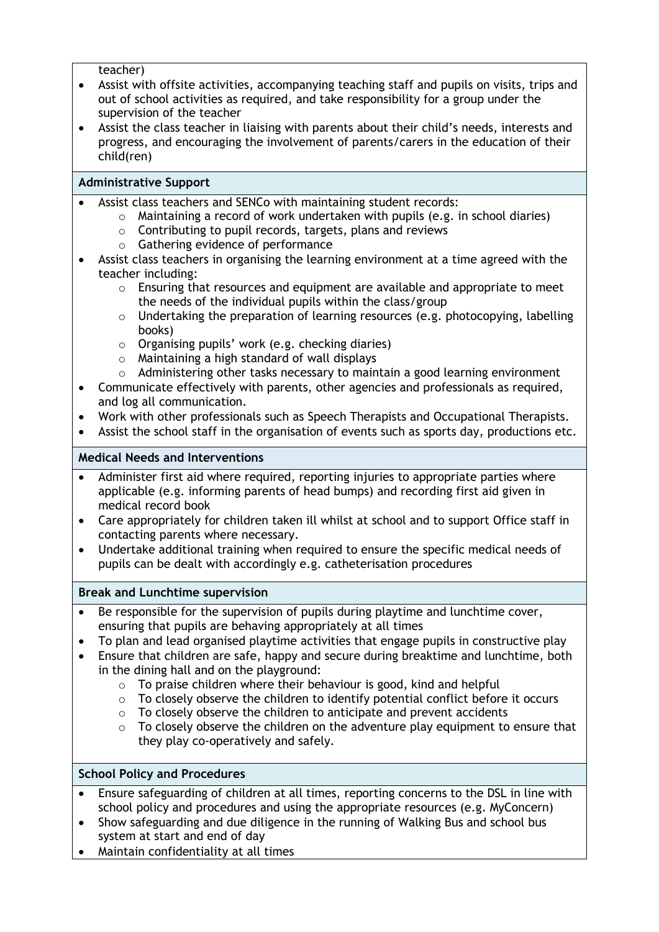teacher)

- Assist with offsite activities, accompanying teaching staff and pupils on visits, trips and out of school activities as required, and take responsibility for a group under the supervision of the teacher
- Assist the class teacher in liaising with parents about their child's needs, interests and progress, and encouraging the involvement of parents/carers in the education of their child(ren)

#### **Administrative Support**

- Assist class teachers and SENCo with maintaining student records:
	- o Maintaining a record of work undertaken with pupils (e.g. in school diaries)
	- o Contributing to pupil records, targets, plans and reviews
	- o Gathering evidence of performance
- Assist class teachers in organising the learning environment at a time agreed with the teacher including:
	- $\circ$  Ensuring that resources and equipment are available and appropriate to meet the needs of the individual pupils within the class/group
	- $\circ$  Undertaking the preparation of learning resources (e.g. photocopying, labelling books)
	- o Organising pupils' work (e.g. checking diaries)
	- o Maintaining a high standard of wall displays
	- $\circ$  Administering other tasks necessary to maintain a good learning environment
- Communicate effectively with parents, other agencies and professionals as required, and log all communication.
- Work with other professionals such as Speech Therapists and Occupational Therapists.
- Assist the school staff in the organisation of events such as sports day, productions etc.

#### **Medical Needs and Interventions**

- Administer first aid where required, reporting injuries to appropriate parties where applicable (e.g. informing parents of head bumps) and recording first aid given in medical record book
- Care appropriately for children taken ill whilst at school and to support Office staff in contacting parents where necessary.
- Undertake additional training when required to ensure the specific medical needs of pupils can be dealt with accordingly e.g. catheterisation procedures

#### **Break and Lunchtime supervision**

- Be responsible for the supervision of pupils during playtime and lunchtime cover, ensuring that pupils are behaving appropriately at all times
- To plan and lead organised playtime activities that engage pupils in constructive play
- Ensure that children are safe, happy and secure during breaktime and lunchtime, both in the dining hall and on the playground:
	- $\circ$  To praise children where their behaviour is good, kind and helpful
	- $\circ$  To closely observe the children to identify potential conflict before it occurs
	- $\circ$  To closely observe the children to anticipate and prevent accidents
	- $\circ$  To closely observe the children on the adventure play equipment to ensure that they play co-operatively and safely.

#### **School Policy and Procedures**

- Ensure safeguarding of children at all times, reporting concerns to the DSL in line with school policy and procedures and using the appropriate resources (e.g. MyConcern)
- Show safeguarding and due diligence in the running of Walking Bus and school bus system at start and end of day
- Maintain confidentiality at all times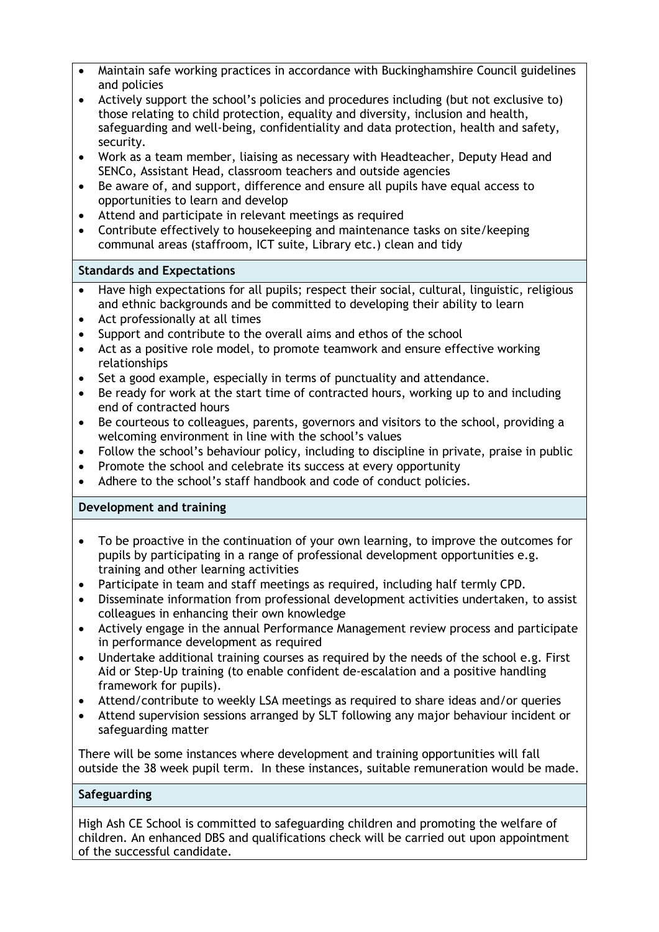- Maintain safe working practices in accordance with Buckinghamshire Council guidelines and policies
- Actively support the school's policies and procedures including (but not exclusive to) those relating to child protection, equality and diversity, inclusion and health, safeguarding and well-being, confidentiality and data protection, health and safety, security.
- Work as a team member, liaising as necessary with Headteacher, Deputy Head and SENCo, Assistant Head, classroom teachers and outside agencies
- Be aware of, and support, difference and ensure all pupils have equal access to opportunities to learn and develop
- Attend and participate in relevant meetings as required
- Contribute effectively to housekeeping and maintenance tasks on site/keeping communal areas (staffroom, ICT suite, Library etc.) clean and tidy

# **Standards and Expectations**

- Have high expectations for all pupils; respect their social, cultural, linguistic, religious and ethnic backgrounds and be committed to developing their ability to learn
- Act professionally at all times
- Support and contribute to the overall aims and ethos of the school
- Act as a positive role model, to promote teamwork and ensure effective working relationships
- Set a good example, especially in terms of punctuality and attendance.
- Be ready for work at the start time of contracted hours, working up to and including end of contracted hours
- Be courteous to colleagues, parents, governors and visitors to the school, providing a welcoming environment in line with the school's values
- Follow the school's behaviour policy, including to discipline in private, praise in public
- Promote the school and celebrate its success at every opportunity
- Adhere to the school's staff handbook and code of conduct policies.

# **Development and training**

- To be proactive in the continuation of your own learning, to improve the outcomes for pupils by participating in a range of professional development opportunities e.g. training and other learning activities
- Participate in team and staff meetings as required, including half termly CPD.
- Disseminate information from professional development activities undertaken, to assist colleagues in enhancing their own knowledge
- Actively engage in the annual Performance Management review process and participate in performance development as required
- Undertake additional training courses as required by the needs of the school e.g. First Aid or Step-Up training (to enable confident de-escalation and a positive handling framework for pupils).
- Attend/contribute to weekly LSA meetings as required to share ideas and/or queries
- Attend supervision sessions arranged by SLT following any major behaviour incident or safeguarding matter

There will be some instances where development and training opportunities will fall outside the 38 week pupil term. In these instances, suitable remuneration would be made.

#### **Safeguarding**

High Ash CE School is committed to safeguarding children and promoting the welfare of children. An enhanced DBS and qualifications check will be carried out upon appointment of the successful candidate.